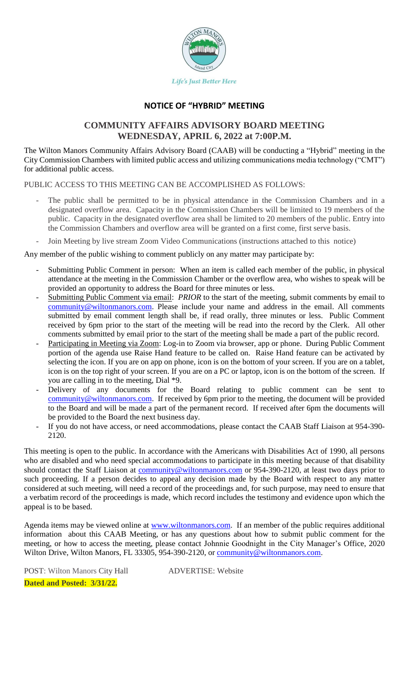

# **NOTICE OF "HYBRID" MEETING**

# **COMMUNITY AFFAIRS ADVISORY BOARD MEETING WEDNESDAY, APRIL 6, 2022 at 7:00P.M.**

The Wilton Manors Community Affairs Advisory Board (CAAB) will be conducting a "Hybrid" meeting in the City Commission Chambers with limited public access and utilizing communications media technology ("CMT") for additional public access.

PUBLIC ACCESS TO THIS MEETING CAN BE ACCOMPLISHED AS FOLLOWS:

- The public shall be permitted to be in physical attendance in the Commission Chambers and in a designated overflow area. Capacity in the Commission Chambers will be limited to 19 members of the public. Capacity in the designated overflow area shall be limited to 20 members of the public. Entry into the Commission Chambers and overflow area will be granted on a first come, first serve basis.
- Join Meeting by live stream Zoom Video Communications (instructions attached to this notice)

Any member of the public wishing to comment publicly on any matter may participate by:

- Submitting Public Comment in person: When an item is called each member of the public, in physical attendance at the meeting in the Commission Chamber or the overflow area, who wishes to speak will be provided an opportunity to address the Board for three minutes or less.
- Submitting Public Comment via email: *PRIOR* to the start of the meeting, submit comments by email to [community@wiltonmanors.com.](mailto:community@wiltonmanors.com) Please include your name and address in the email. All comments submitted by email comment length shall be, if read orally, three minutes or less. Public Comment received by 6pm prior to the start of the meeting will be read into the record by the Clerk. All other comments submitted by email prior to the start of the meeting shall be made a part of the public record.
- Participating in Meeting via Zoom: Log-in to Zoom via browser, app or phone. During Public Comment portion of the agenda use Raise Hand feature to be called on. Raise Hand feature can be activated by selecting the icon. If you are on app on phone, icon is on the bottom of your screen. If you are on a tablet, icon is on the top right of your screen. If you are on a PC or laptop, icon is on the bottom of the screen. If you are calling in to the meeting, Dial \*9.
- Delivery of any documents for the Board relating to public comment can be sent to [community@wiltonmanors.com.](mailto:community@wiltonmanors.com) If received by 6pm prior to the meeting, the document will be provided to the Board and will be made a part of the permanent record. If received after 6pm the documents will be provided to the Board the next business day.
- If you do not have access, or need accommodations, please contact the CAAB Staff Liaison at 954-390-2120.

This meeting is open to the public. In accordance with the Americans with Disabilities Act of 1990, all persons who are disabled and who need special accommodations to participate in this meeting because of that disability should contact the Staff Liaison at [community@wiltonmanors.com](mailto:community@wiltonmanors.com) or 954-390-2120, at least two days prior to such proceeding. If a person decides to appeal any decision made by the Board with respect to any matter considered at such meeting, will need a record of the proceedings and, for such purpose, may need to ensure that a verbatim record of the proceedings is made, which record includes the testimony and evidence upon which the appeal is to be based.

Agenda items may be viewed online at [www.wiltonmanors.com.](http://www.wiltonmanors.com/) If an member of the public requires additional information about this CAAB Meeting, or has any questions about how to submit public comment for the meeting, or how to access the meeting, please contact Johnnie Goodnight in the City Manager's Office, 2020 Wilton Drive, Wilton Manors, FL 33305, 954-390-2120, or [community@wiltonmanors.com.](mailto:community@wiltonmanors.com)

POST: Wilton Manors City Hall ADVERTISE: Website **Dated and Posted: 3/31/22.**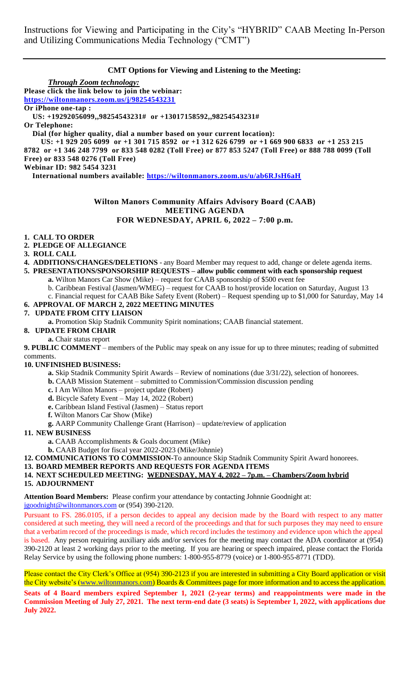Instructions for Viewing and Participating in the City's "HYBRID" CAAB Meeting In-Person and Utilizing Communications Media Technology ("CMT")

# **CMT Options for Viewing and Listening to the Meeting:**

*Through Zoom technology:* **Please click the link below to join the webinar: <https://wiltonmanors.zoom.us/j/98254543231> Or iPhone one-tap : US: +19292056099,,98254543231# or +13017158592,,98254543231# Or Telephone: Dial (for higher quality, dial a number based on your current location): US: +1 929 205 6099 or +1 301 715 8592 or +1 312 626 6799 or +1 669 900 6833 or +1 253 215 8782 or +1 346 248 7799 or 833 548 0282 (Toll Free) or 877 853 5247 (Toll Free) or 888 788 0099 (Toll Free) or 833 548 0276 (Toll Free) Webinar ID: 982 5454 3231 International numbers available:<https://wiltonmanors.zoom.us/u/ab6RJsH6aH>**

## **Wilton Manors Community Affairs Advisory Board (CAAB) MEETING AGENDA FOR WEDNESDAY, APRIL 6, 2022 – 7:00 p.m.**

#### **1. CALL TO ORDER**

- **2. PLEDGE OF ALLEGIANCE**
- **3. ROLL CALL**
- **4. ADDITIONS/CHANGES/DELETIONS** any Board Member may request to add, change or delete agenda items.
- **5. PRESENTATIONS/SPONSORSHIP REQUESTS – allow public comment with each sponsorship request a.** Wilton Manors Car Show (Mike) – request for CAAB sponsorship of \$500 event fee
	- b. Caribbean Festival (Jasmen/WMEG) request for CAAB to host/provide location on Saturday, August 13
	- c. Financial request for CAAB Bike Safety Event (Robert) Request spending up to \$1,000 for Saturday, May 14

## **6. APPROVAL OF MARCH 2, 2022 MEETING MINUTES**

## **7. UPDATE FROM CITY LIAISON**

**a.** Promotion Skip Stadnik Community Spirit nominations; CAAB financial statement.

#### **8. UPDATE FROM CHAIR**

**a.** Chair status report

**9. PUBLIC COMMENT** – members of the Public may speak on any issue for up to three minutes; reading of submitted comments.

#### **10. UNFINISHED BUSINESS:**

- **a.** Skip Stadnik Community Spirit Awards Review of nominations (due 3/31/22), selection of honorees.
- **b.** CAAB Mission Statement submitted to Commission/Commission discussion pending
- **c.** I Am Wilton Manors project update (Robert)
- **d.** Bicycle Safety Event May 14, 2022 (Robert)
- **e.** Caribbean Island Festival (Jasmen) Status report
- **f.** Wilton Manors Car Show (Mike)
- **g.** AARP Community Challenge Grant (Harrison) update/review of application

#### **11. NEW BUSINESS**

- **a.** CAAB Accomplishments & Goals document (Mike)
- **b.** CAAB Budget for fiscal year 2022-2023 (Mike/Johnnie)
- **12. COMMUNICATIONS TO COMMISSION-**To announce Skip Stadnik Community Spirit Award honorees.

#### **13. BOARD MEMBER REPORTS AND REQUESTS FOR AGENDA ITEMS**

## **14. NEXT SCHEDULED MEETING: WEDNESDAY, MAY 4, 2022 – 7p.m. – Chambers/Zoom hybrid 15. ADJOURNMENT**

**Attention Board Members:** Please confirm your attendance by contacting Johnnie Goodnight at: [jgoodnight@wiltonmanors.com](mailto:jgoodnight@wiltonmanors.com) or (954) 390-2120.

Pursuant to FS. 286.0105, if a person decides to appeal any decision made by the Board with respect to any matter considered at such meeting, they will need a record of the proceedings and that for such purposes they may need to ensure that a verbatim record of the proceedings is made, which record includes the testimony and evidence upon which the appeal is based. Any person requiring auxiliary aids and/or services for the meeting may contact the ADA coordinator at (954) 390-2120 at least 2 working days prior to the meeting. If you are hearing or speech impaired, please contact the Florida Relay Service by using the following phone numbers: 1-800-955-8779 (voice) or 1-800-955-8771 (TDD).

Please contact the City Clerk's Office at (954) 390-2123 if you are interested in submitting a City Board application or visit the City website's [\(www.wiltonmanors.com\)](http://www.wiltonmanors.com/) Boards & Committees page for more information and to access the application. **Seats of 4 Board members expired September 1, 2021 (2-year terms) and reappointments were made in the Commission Meeting of July 27, 2021. The next term-end date (3 seats) is September 1, 2022, with applications due July 2022.**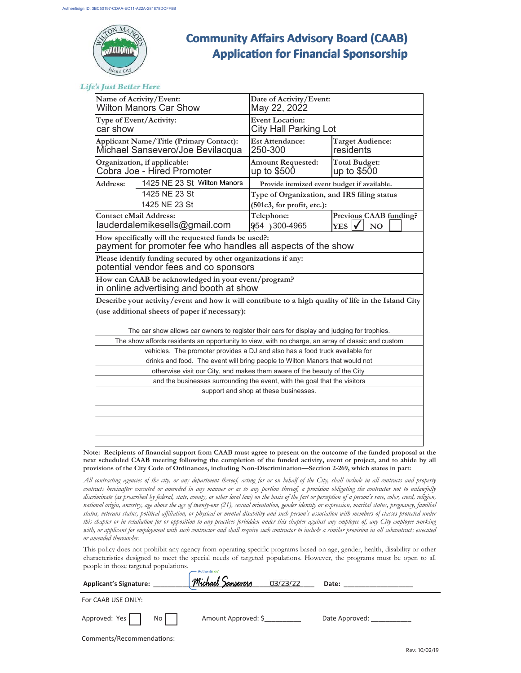

# **Community Aīairs Advisory Board (CAAB) Community Aīairs Advisory Board (CAAB) ApplicaƟon for Financial Sponsorship Ɵon Financial Sponsorship**

**Life's Just Better Here** 

| Name of Activity/Event:<br><b>Wilton Manors Car Show</b>                                                            |                                                                                                   | Date of Activity/Event:<br>May 22, 2022         |                                                              |  |  |
|---------------------------------------------------------------------------------------------------------------------|---------------------------------------------------------------------------------------------------|-------------------------------------------------|--------------------------------------------------------------|--|--|
| Type of Event/Activity:<br>car show                                                                                 |                                                                                                   | <b>Event Location:</b><br>City Hall Parking Lot |                                                              |  |  |
| <b>Applicant Name/Title (Primary Contact):</b><br>Michael Sansevero/Joe Bevilacqua                                  |                                                                                                   | <b>Est Attendance:</b><br>250-300               | <b>Target Audience:</b><br>residents                         |  |  |
| Organization, if applicable:<br>Cobra Joe - Hired Promoter                                                          |                                                                                                   | <b>Amount Requested:</b><br>up to $$500$        | <b>Total Budget:</b><br>up to \$500                          |  |  |
| Address:                                                                                                            | 1425 NE 23 St Wilton Manors                                                                       | Provide itemized event budget if available.     |                                                              |  |  |
|                                                                                                                     | 1425 NE 23 St                                                                                     | Type of Organization, and IRS filing status     |                                                              |  |  |
|                                                                                                                     | 1425 NE 23 St                                                                                     | (501c3, for profit, etc.):                      |                                                              |  |  |
| <b>Contact eMail Address:</b>                                                                                       | lauderdalemikesells@gmail.com                                                                     | Telephone:<br>954) 300-4965                     | Previous CAAB funding?<br>YES <sup>1</sup><br>N <sub>0</sub> |  |  |
| How specifically will the requested funds be used?:<br>payment for promoter fee who handles all aspects of the show |                                                                                                   |                                                 |                                                              |  |  |
| Please identify funding secured by other organizations if any:<br>potential vendor fees and co sponsors             |                                                                                                   |                                                 |                                                              |  |  |
| How can CAAB be acknowledged in your event/program?<br>in online advertising and booth at show                      |                                                                                                   |                                                 |                                                              |  |  |
| Describe your activity/event and how it will contribute to a high quality of life in the Island City                |                                                                                                   |                                                 |                                                              |  |  |
| (use additional sheets of paper if necessary):                                                                      |                                                                                                   |                                                 |                                                              |  |  |
| The car show allows car owners to register their cars for display and judging for trophies.                         |                                                                                                   |                                                 |                                                              |  |  |
|                                                                                                                     | The show affords residents an opportunity to view, with no charge, an array of classic and custom |                                                 |                                                              |  |  |
| vehicles. The promoter provides a DJ and also has a food truck available for                                        |                                                                                                   |                                                 |                                                              |  |  |
| drinks and food. The event will bring people to Wilton Manors that would not                                        |                                                                                                   |                                                 |                                                              |  |  |
| otherwise visit our City, and makes them aware of the beauty of the City                                            |                                                                                                   |                                                 |                                                              |  |  |
| and the businesses surrounding the event, with the goal that the visitors                                           |                                                                                                   |                                                 |                                                              |  |  |
| support and shop at these businesses.                                                                               |                                                                                                   |                                                 |                                                              |  |  |
|                                                                                                                     |                                                                                                   |                                                 |                                                              |  |  |
|                                                                                                                     |                                                                                                   |                                                 |                                                              |  |  |
|                                                                                                                     |                                                                                                   |                                                 |                                                              |  |  |
|                                                                                                                     |                                                                                                   |                                                 |                                                              |  |  |

**Note: Recipients of financial support from CAAB must agree to present on the outcome of the funded proposal at the next scheduled CAAB meeting following the completion of the funded activity, event or project, and to abide by all provisions of the City Code of Ordinances, including Non-Discrimination—Section 2-269, which states in part:** 

*All contracting agencies of the city, or any department thereof, acting for or on behalf of the City, shall include in all contracts and property*  contracts hereinafter executed or amended in any manner or as to any portion thereof, a provision obligating the contractor not to unlawfully *discriminate (as proscribed by federal, state, county, or other local law) on the basis of the fact or perception of a person's race, color, creed, religion, national origin, ancestry, age above the age of twenty-one (21), sexual orientation, gender identity or expression, marital status, pregnancy, familial status, veterans status, political affiliation, or physical or mental disability and such person's association with members of classes protected under this chapter or in retaliation for or opposition to any practices forbidden under this chapter against any employee of, any City employee working*  with, or applicant for employment with such contractor and shall require such contractor to include a similar provision in all subcontracts executed *or amended thereunder.*

This policy does not prohibit any agency from operating specific programs based on age, gender, health, disability or other characteristics designed to meet the special needs of targeted populations. However, the programs must be open to all people in those targeted populations.

| <b>Applicant's Signature:</b> | .<br><u>Michael Sansevero</u><br>03/23/22 | Date:          |  |  |
|-------------------------------|-------------------------------------------|----------------|--|--|
| For CAAB USE ONLY:            |                                           |                |  |  |
| Approved: Yes<br>No           | Amount Approved: \$                       | Date Approved: |  |  |
| Comments/Recommendations:     |                                           |                |  |  |